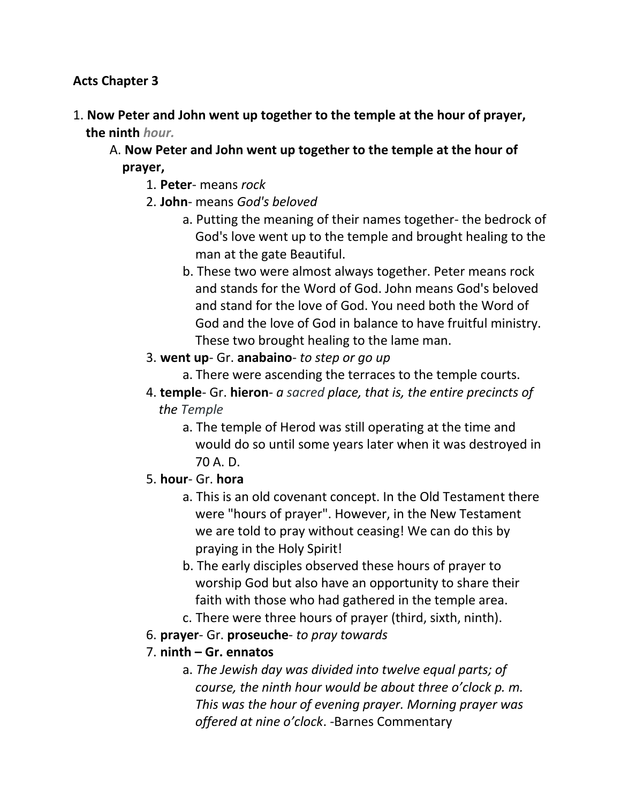#### **Acts Chapter 3**

- 1. **Now Peter and John went up together to the temple at the hour of prayer, the ninth** *hour.*
	- A. **Now Peter and John went up together to the temple at the hour of prayer,**
		- 1. **Peter** means *rock*
		- 2. **John** means *God's beloved*
			- a. Putting the meaning of their names together- the bedrock of God's love went up to the temple and brought healing to the man at the gate Beautiful.
			- b. These two were almost always together. Peter means rock and stands for the Word of God. John means God's beloved and stand for the love of God. You need both the Word of God and the love of God in balance to have fruitful ministry. These two brought healing to the lame man.
		- 3. **went up** Gr. **anabaino** *to step or go up*
			- a. There were ascending the terraces to the temple courts.
		- 4. **temple** Gr. **hieron** *a sacred place, that is, the entire precincts of* *the Temple*
			- a. The temple of Herod was still operating at the time and would do so until some years later when it was destroyed in 70 A. D.
		- 5. **hour** Gr. **hora**
			- a. This is an old covenant concept. In the Old Testament there were "hours of prayer". However, in the New Testament we are told to pray without ceasing! We can do this by praying in the Holy Spirit!
			- b. The early disciples observed these hours of prayer to worship God but also have an opportunity to share their faith with those who had gathered in the temple area.
			- c. There were three hours of prayer (third, sixth, ninth).
		- 6. **prayer** Gr. **proseuche** *to pray towards*
		- 7. **ninth – Gr. ennatos**
			- a. *The Jewish day was divided into twelve equal parts; of course, the ninth hour would be about three o'clock p. m. This was the hour of evening prayer. Morning prayer was offered at nine o'clock*. -Barnes Commentary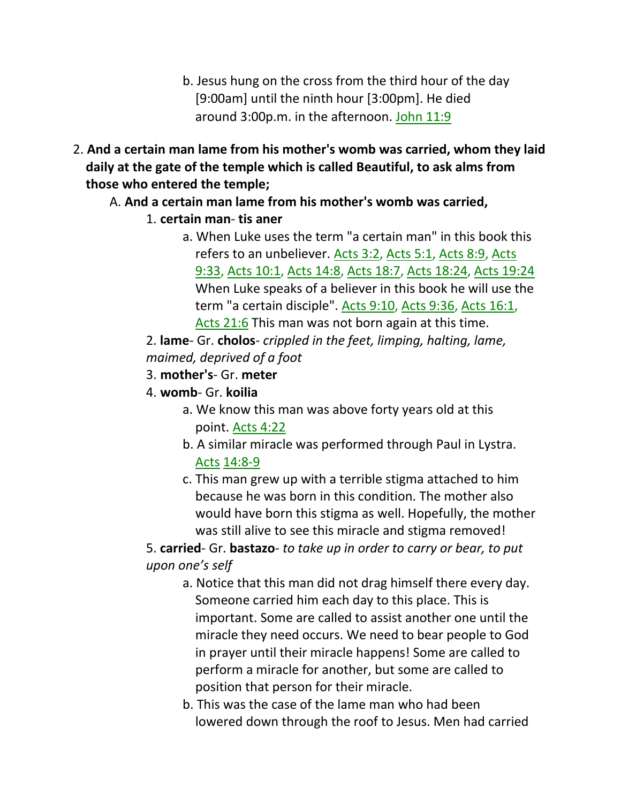- b. Jesus hung on the cross from the third hour of the day [9:00am] until the ninth hour [3:00pm]. He died around 3:00p.m. in the afternoon. John 11:9
- 2. **And a certain man lame from his mother's womb was carried, whom they laid daily at the gate of the temple which is called Beautiful, to ask alms from those who entered the temple;**

## A. **And a certain man lame from his mother's womb was carried,**

- 1. **certain man tis aner**
	- a. When Luke uses the term "a certain man" in this book this refers to an unbeliever. Acts 3:2, Acts 5:1, Acts 8:9, Acts 9:33, Acts 10:1, Acts 14:8, Acts 18:7, Acts 18:24, Acts 19:24 When Luke speaks of a believer in this book he will use the term "a certain disciple". Acts 9:10, Acts 9:36, Acts 16:1, Acts 21:6 This man was not born again at this time.

2. **lame**- Gr. **cholos**- *crippled in the feet, limping, halting, lame, maimed, deprived of a foot*

- 3. **mother's** Gr. **meter**
- 4. **womb** Gr. **koilia**
	- a. We know this man was above forty years old at this point. Acts 4:22
	- b. A similar miracle was performed through Paul in Lystra. Acts 14:8-9
	- c. This man grew up with a terrible stigma attached to him because he was born in this condition. The mother also would have born this stigma as well. Hopefully, the mother was still alive to see this miracle and stigma removed!

5. **carried**- Gr. **bastazo**- *to take up in order to carry or bear, to put upon one's self*

- a. Notice that this man did not drag himself there every day. Someone carried him each day to this place. This is important. Some are called to assist another one until the miracle they need occurs. We need to bear people to God in prayer until their miracle happens! Some are called to perform a miracle for another, but some are called to position that person for their miracle.
- b. This was the case of the lame man who had been lowered down through the roof to Jesus. Men had carried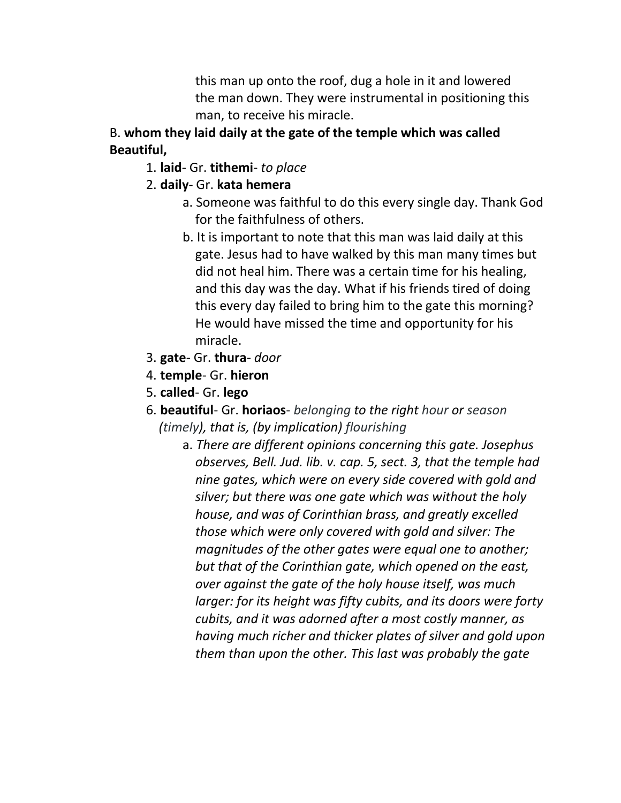this man up onto the roof, dug a hole in it and lowered the man down. They were instrumental in positioning this man, to receive his miracle.

## B. **whom they laid daily at the gate of the temple which was called Beautiful,**

## 1. **laid**- Gr. **tithemi**- *to place*

## 2. **daily**- Gr. **kata hemera**

- a. Someone was faithful to do this every single day. Thank God for the faithfulness of others.
- b. It is important to note that this man was laid daily at this gate. Jesus had to have walked by this man many times but did not heal him. There was a certain time for his healing, and this day was the day. What if his friends tired of doing this every day failed to bring him to the gate this morning? He would have missed the time and opportunity for his miracle.
- 3. **gate** Gr. **thura** *door*
- 4. **temple** Gr. **hieron**
- 5. **called** Gr. **lego**
- 6. **beautiful** Gr. **horiaos** *belonging to the right hour or season (timely), that is, (by implication) flourishing*
	- a. *There are different opinions concerning this gate. Josephus observes, Bell. Jud. lib. v. cap. 5, sect. 3, that the temple had nine gates, which were on every side covered with gold and silver; but there was one gate which was without the holy house, and was of Corinthian brass, and greatly excelled those which were only covered with gold and silver: The magnitudes of the other gates were equal one to another; but that of the Corinthian gate, which opened on the east, over against the gate of the holy house itself, was much larger: for its height was fifty cubits, and its doors were forty cubits, and it was adorned after a most costly manner, as having much richer and thicker plates of silver and gold upon them than upon the other. This last was probably the gate*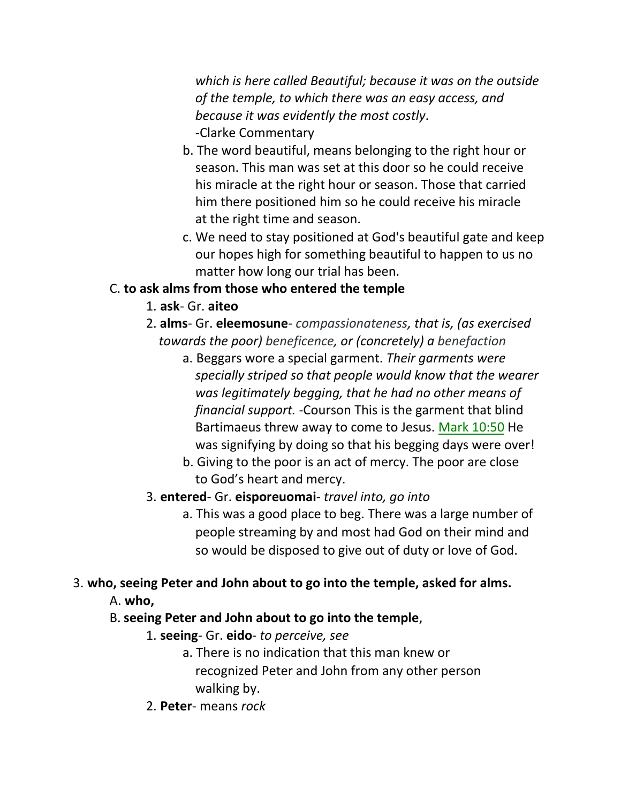*which is here called Beautiful; because it was on the outside of the temple, to which there was an easy access, and because it was evidently the most costly*. -Clarke Commentary

- b. The word beautiful, means belonging to the right hour or season. This man was set at this door so he could receive his miracle at the right hour or season. Those that carried him there positioned him so he could receive his miracle at the right time and season.
- c. We need to stay positioned at God's beautiful gate and keep our hopes high for something beautiful to happen to us no matter how long our trial has been.

# C. **to ask alms from those who entered the temple**

- 1. **ask** Gr. **aiteo**
- 2. **alms** Gr. **eleemosune** *compassionateness, that is, (as exercised* *towards the poor) beneficence, or (concretely) a benefaction*
	- a. Beggars wore a special garment. *Their garments were specially striped so that people would know that the wearer was legitimately begging, that he had no other means of financial support.* -Courson This is the garment that blind Bartimaeus threw away to come to Jesus. Mark 10:50 He was signifying by doing so that his begging days were over!
	- b. Giving to the poor is an act of mercy. The poor are close to God's heart and mercy.

## 3. **entered**- Gr. **eisporeuomai**- *travel into, go into*

a. This was a good place to beg. There was a large number of people streaming by and most had God on their mind and so would be disposed to give out of duty or love of God.

## 3. **who, seeing Peter and John about to go into the temple, asked for alms.**

A. **who,**

## B. **seeing Peter and John about to go into the temple**,

- 1. **seeing** Gr. **eido** *to perceive, see*
	- a. There is no indication that this man knew or recognized Peter and John from any other person walking by.
- 2. **Peter** means *rock*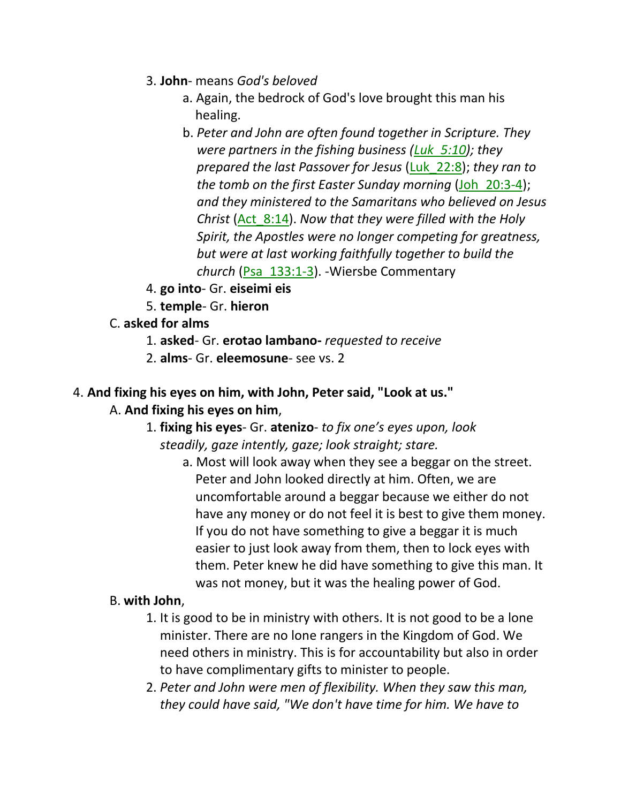- 3. **John** means *God's beloved*
	- a. Again, the bedrock of God's love brought this man his healing.
	- b. *Peter and John are often found together in Scripture. They were partners in the fishing business (Luk\_5:10); they prepared the last Passover for Jesus* (Luk\_22:8); *they ran to the tomb on the first Easter Sunday morning* (Joh\_20:3-4); *and they ministered to the Samaritans who believed on Jesus Christ* (Act\_8:14). *Now that they were filled with the Holy Spirit, the Apostles were no longer competing for greatness, but were at last working faithfully together to build the church* (Psa\_133:1-3). -Wiersbe Commentary
- 4. **go into** Gr. **eiseimi eis**
- 5. **temple** Gr. **hieron**
- C. **asked for alms**
	- 1. **asked** Gr. **erotao lambano-** *requested to receive*
	- 2. **alms** Gr. **eleemosune** see vs. 2

# 4. **And fixing his eyes on him, with John, Peter said, "Look at us."**

## A. **And fixing his eyes on him**,

- 1. **fixing his eyes** Gr. **atenizo** *to fix one's eyes upon, look steadily, gaze intently, gaze; look straight; stare.*
	- a. Most will look away when they see a beggar on the street. Peter and John looked directly at him. Often, we are uncomfortable around a beggar because we either do not have any money or do not feel it is best to give them money. If you do not have something to give a beggar it is much easier to just look away from them, then to lock eyes with them. Peter knew he did have something to give this man. It was not money, but it was the healing power of God.

#### B. **with John**,

- 1. It is good to be in ministry with others. It is not good to be a lone minister. There are no lone rangers in the Kingdom of God. We need others in ministry. This is for accountability but also in order to have complimentary gifts to minister to people.
- 2. *Peter and John were men of flexibility. When they saw this man, they could have said, "We don't have time for him. We have to*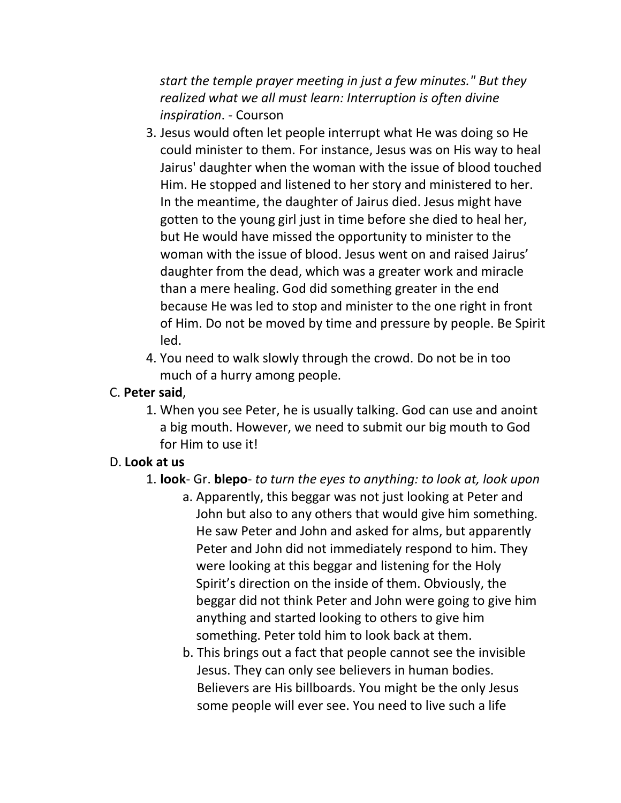*start the temple prayer meeting in just a few minutes." But they realized what we all must learn: Interruption is often divine inspiration*. - Courson

- 3. Jesus would often let people interrupt what He was doing so He could minister to them. For instance, Jesus was on His way to heal Jairus' daughter when the woman with the issue of blood touched Him. He stopped and listened to her story and ministered to her. In the meantime, the daughter of Jairus died. Jesus might have gotten to the young girl just in time before she died to heal her, but He would have missed the opportunity to minister to the woman with the issue of blood. Jesus went on and raised Jairus' daughter from the dead, which was a greater work and miracle than a mere healing. God did something greater in the end because He was led to stop and minister to the one right in front of Him. Do not be moved by time and pressure by people. Be Spirit led.
- 4. You need to walk slowly through the crowd. Do not be in too much of a hurry among people.

## C. **Peter said**,

1. When you see Peter, he is usually talking. God can use and anoint a big mouth. However, we need to submit our big mouth to God for Him to use it!

## D. **Look at us**

- 1. **look** Gr. **blepo** *to turn the eyes to anything: to look at, look upon*
	- a. Apparently, this beggar was not just looking at Peter and John but also to any others that would give him something. He saw Peter and John and asked for alms, but apparently Peter and John did not immediately respond to him. They were looking at this beggar and listening for the Holy Spirit's direction on the inside of them. Obviously, the beggar did not think Peter and John were going to give him anything and started looking to others to give him something. Peter told him to look back at them.
	- b. This brings out a fact that people cannot see the invisible Jesus. They can only see believers in human bodies. Believers are His billboards. You might be the only Jesus some people will ever see. You need to live such a life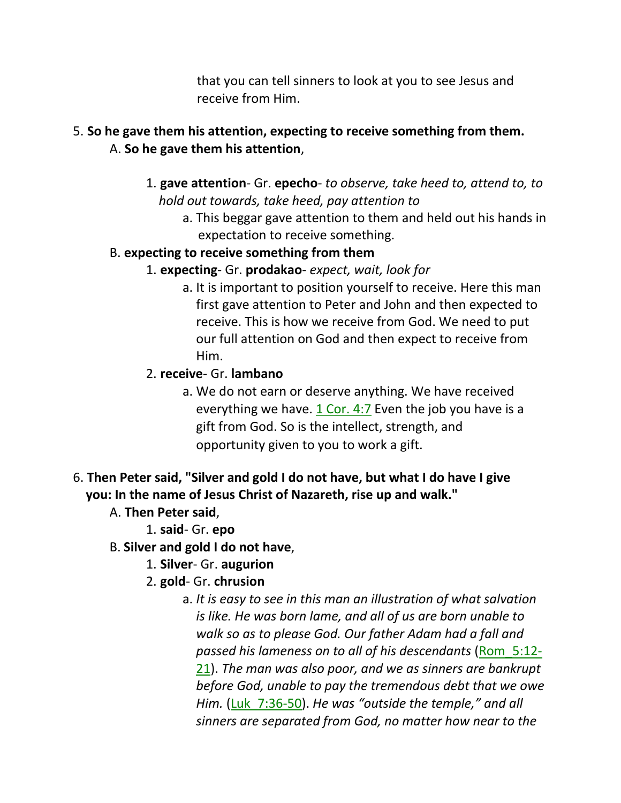that you can tell sinners to look at you to see Jesus and receive from Him.

#### 5. **So he gave them his attention, expecting to receive something from them.** A. **So he gave them his attention**,

- 1. **gave attention** Gr. **epecho** *to observe, take heed to, attend to, to hold out towards, take heed, pay attention to*
	- a. This beggar gave attention to them and held out his hands in expectation to receive something.
- B. **expecting to receive something from them**
	- 1. **expecting** Gr. **prodakao** *expect, wait, look for*
		- a. It is important to position yourself to receive. Here this man first gave attention to Peter and John and then expected to receive. This is how we receive from God. We need to put our full attention on God and then expect to receive from Him.
	- 2. **receive** Gr. **lambano**
		- a. We do not earn or deserve anything. We have received everything we have.  $1$  Cor. 4:7 Even the job you have is a gift from God. So is the intellect, strength, and opportunity given to you to work a gift.
- 6. **Then Peter said, "Silver and gold I do not have, but what I do have I give you: In the name of Jesus Christ of Nazareth, rise up and walk."**
	- A. **Then Peter said**,
		- 1. **said** Gr. **epo**
	- B. **Silver and gold I do not have**,
		- 1. **Silver** Gr. **augurion**
		- 2. **gold** Gr. **chrusion**
			- a. *It is easy to see in this man an illustration of what salvation is like. He was born lame, and all of us are born unable to walk so as to please God. Our father Adam had a fall and passed his lameness on to all of his descendants* (Rom\_5:12- 21). *The man was also poor, and we as sinners are bankrupt before God, unable to pay the tremendous debt that we owe Him.* (Luk\_7:36-50). *He was "outside the temple," and all sinners are separated from God, no matter how near to the*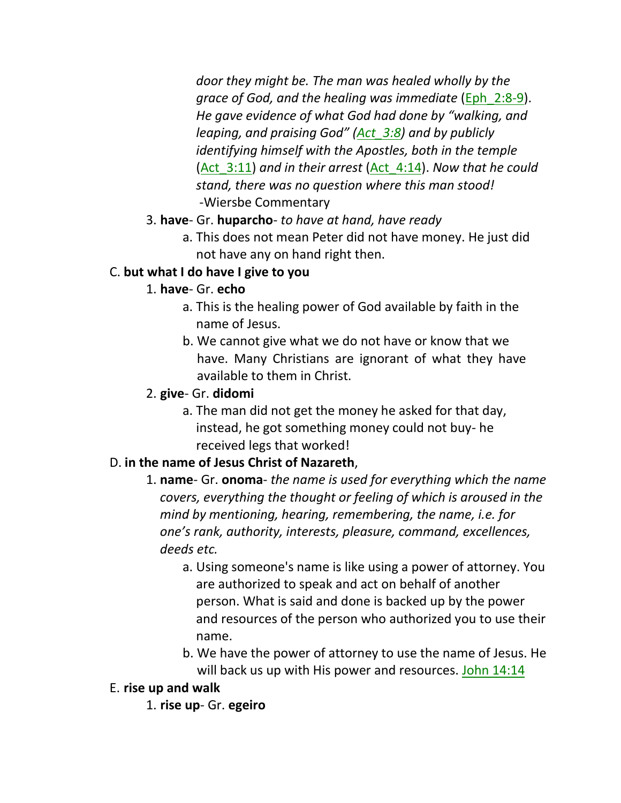*door they might be. The man was healed wholly by the grace of God, and the healing was immediate* (Eph\_2:8-9). *He gave evidence of what God had done by "walking, and leaping, and praising God" (Act\_3:8) and by publicly identifying himself with the Apostles, both in the temple*  (Act\_3:11) *and in their arrest* (Act\_4:14). *Now that he could stand, there was no question where this man stood!* -Wiersbe Commentary

#### 3. **have**- Gr. **huparcho**- *to have at hand, have ready*

a. This does not mean Peter did not have money. He just did not have any on hand right then.

#### C. **but what I do have I give to you**

#### 1. **have**- Gr. **echo**

- a. This is the healing power of God available by faith in the name of Jesus.
- b. We cannot give what we do not have or know that we have. Many Christians are ignorant of what they have available to them in Christ.

#### 2. **give**- Gr. **didomi**

a. The man did not get the money he asked for that day, instead, he got something money could not buy- he received legs that worked!

## D. **in the name of Jesus Christ of Nazareth**,

- 1. **name** Gr. **onoma** *the name is used for everything which the name covers, everything the thought or feeling of which is aroused in the mind by mentioning, hearing, remembering, the name, i.e. for one's rank, authority, interests, pleasure, command, excellences, deeds etc.*
	- a. Using someone's name is like using a power of attorney. You are authorized to speak and act on behalf of another person. What is said and done is backed up by the power and resources of the person who authorized you to use their name.
	- b. We have the power of attorney to use the name of Jesus. He will back us up with His power and resources. John 14:14

## E. **rise up and walk**

1. **rise up**- Gr. **egeiro**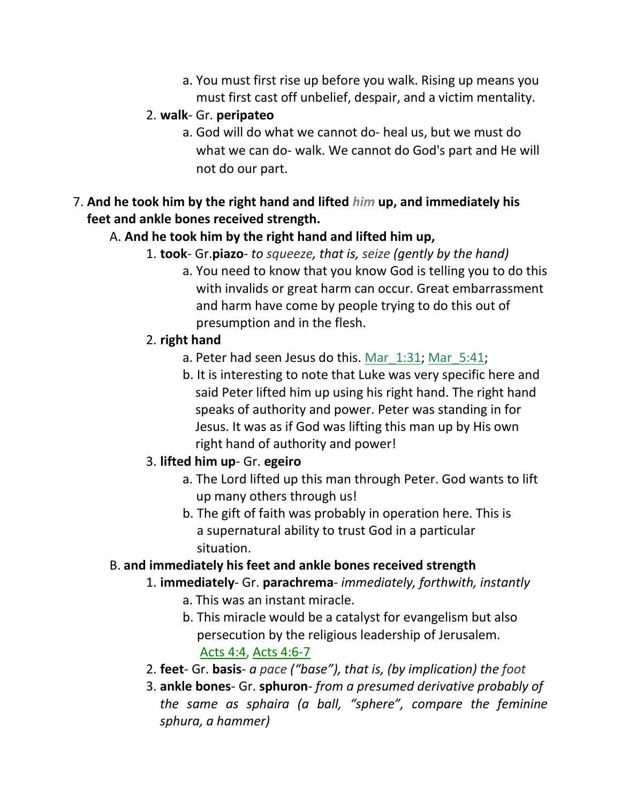a. You must first rise up before you walk. Rising up means you must first cast off unbelief, despair, and a victim mentality.

#### 2. **walk**- Gr. **peripateo**

- a. God will do what we cannot do- heal us, but we must do what we can do- walk. We cannot do God's part and He will not do our part.
- 7. **And he took him by the right hand and lifted** *him* **up, and immediately his feet and ankle bones received strength.**

## A. **And he took him by the right hand and lifted him up,**

- 1. **took** Gr.**piazo** *to squeeze, that is, seize (gently by the hand)*
	- a. You need to know that you know God is telling you to do this with invalids or great harm can occur. Great embarrassment and harm have come by people trying to do this out of presumption and in the flesh.

#### 2. **right hand**

- a. Peter had seen Jesus do this. Mar\_1:31; Mar\_5:41;
- b. It is interesting to note that Luke was very specific here and said Peter lifted him up using his right hand. The right hand speaks of authority and power. Peter was standing in for Jesus. It was as if God was lifting this man up by His own right hand of authority and power!

## 3. **lifted him up**- Gr. **egeiro**

- a. The Lord lifted up this man through Peter. God wants to lift up many others through us!
- b. The gift of faith was probably in operation here. This is a supernatural ability to trust God in a particular situation.

## B. **and immediately his feet and ankle bones received strength**

## 1. **immediately**- Gr. **parachrema**- *immediately, forthwith, instantly*

- a. This was an instant miracle.
- b. This miracle would be a catalyst for evangelism but also persecution by the religious leadership of Jerusalem. Acts 4:4, Acts 4:6-7
- 2. **feet** Gr. **basis** *a pace ("base"), that is, (by implication) the foot*
- 3. **ankle bones** Gr. **sphuron** *from a presumed derivative probably of the same as sphaira (a ball, "sphere", compare the feminine sphura, a hammer)*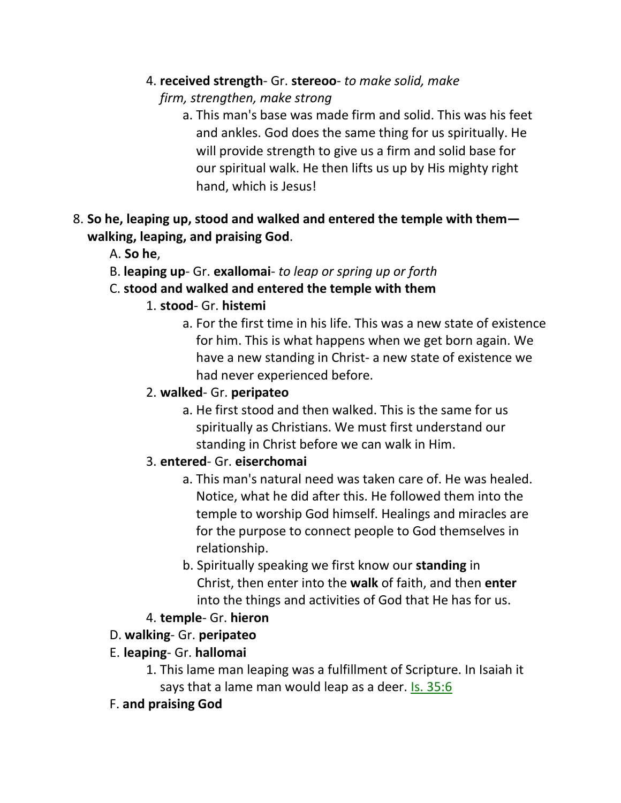- 4. **received strength** Gr. **stereoo** *to make solid, make*
	- *firm, strengthen, make strong*
		- a. This man's base was made firm and solid. This was his feet and ankles. God does the same thing for us spiritually. He will provide strength to give us a firm and solid base for our spiritual walk. He then lifts us up by His mighty right hand, which is Jesus!
- 8. **So he, leaping up, stood and walked and entered the temple with them walking, leaping, and praising God**.
	- A. **So he**,
	- B. **leaping up** Gr. **exallomai** *to leap or spring up or forth*
	- C. **stood and walked and entered the temple with them**
		- 1. **stood** Gr. **histemi**
			- a. For the first time in his life. This was a new state of existence for him. This is what happens when we get born again. We have a new standing in Christ- a new state of existence we had never experienced before.

# 2. **walked**- Gr. **peripateo**

a. He first stood and then walked. This is the same for us spiritually as Christians. We must first understand our standing in Christ before we can walk in Him.

# 3. **entered**- Gr. **eiserchomai**

- a. This man's natural need was taken care of. He was healed. Notice, what he did after this. He followed them into the temple to worship God himself. Healings and miracles are for the purpose to connect people to God themselves in relationship.
- b. Spiritually speaking we first know our **standing** in Christ, then enter into the **walk** of faith, and then **enter** into the things and activities of God that He has for us.
- 4. **temple** Gr. **hieron**

# D. **walking**- Gr. **peripateo**

- E. **leaping** Gr. **hallomai**
	- 1. This lame man leaping was a fulfillment of Scripture. In Isaiah it says that a lame man would leap as a deer. Is. 35:6
- F. **and praising God**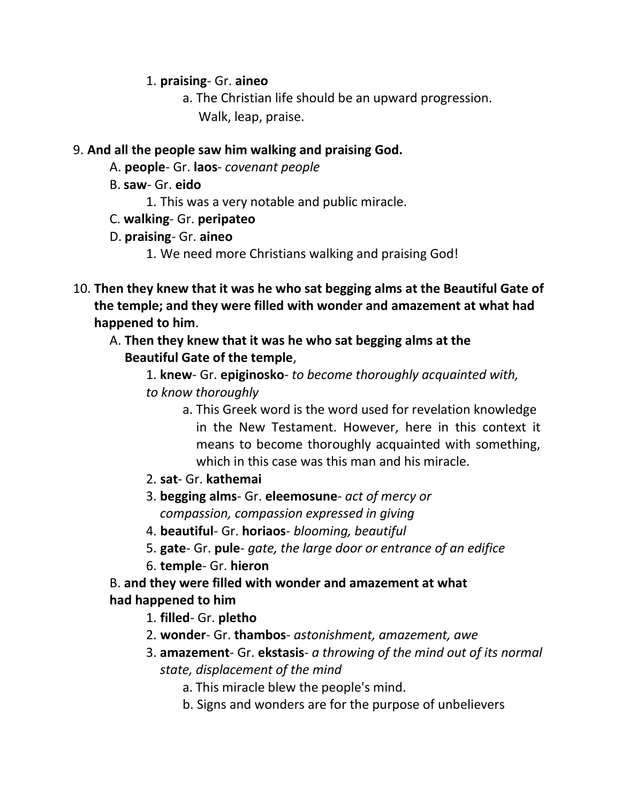#### 1. **praising**- Gr. **aineo**

a. The Christian life should be an upward progression. Walk, leap, praise.

#### 9. **And all the people saw him walking and praising God.**

- A. **people** Gr. **laos** *covenant people*
- B. **saw** Gr. **eido**
	- 1. This was a very notable and public miracle.
- C. **walking** Gr. **peripateo**
- D. **praising** Gr. **aineo**
	- 1. We need more Christians walking and praising God!
- 10. **Then they knew that it was he who sat begging alms at the Beautiful Gate of the temple; and they were filled with wonder and amazement at what had happened to him**.

## A. **Then they knew that it was he who sat begging alms at the Beautiful Gate of the temple**,

1. **knew**- Gr. **epiginosko**- *to become thoroughly acquainted with, to know thoroughly*

- a. This Greek word is the word used for revelation knowledge in the New Testament. However, here in this context it means to become thoroughly acquainted with something, which in this case was this man and his miracle.
- 2. **sat** Gr. **kathemai**
- 3. **begging alms** Gr. **eleemosune** *act of mercy or compassion, compassion expressed in giving*
- 4. **beautiful** Gr. **horiaos** *blooming, beautiful*
- 5. **gate** Gr. **pule** *gate, the large door or entrance of an edifice*
- 6. **temple** Gr. **hieron**

## B. **and they were filled with wonder and amazement at what had happened to him**

- 1. **filled** Gr. **pletho**
- 2. **wonder** Gr. **thambos** *astonishment, amazement, awe*
- 3. **amazement** Gr. **ekstasis** *a throwing of the mind out of its normal state, displacement of the mind*
	- a. This miracle blew the people's mind.
	- b. Signs and wonders are for the purpose of unbelievers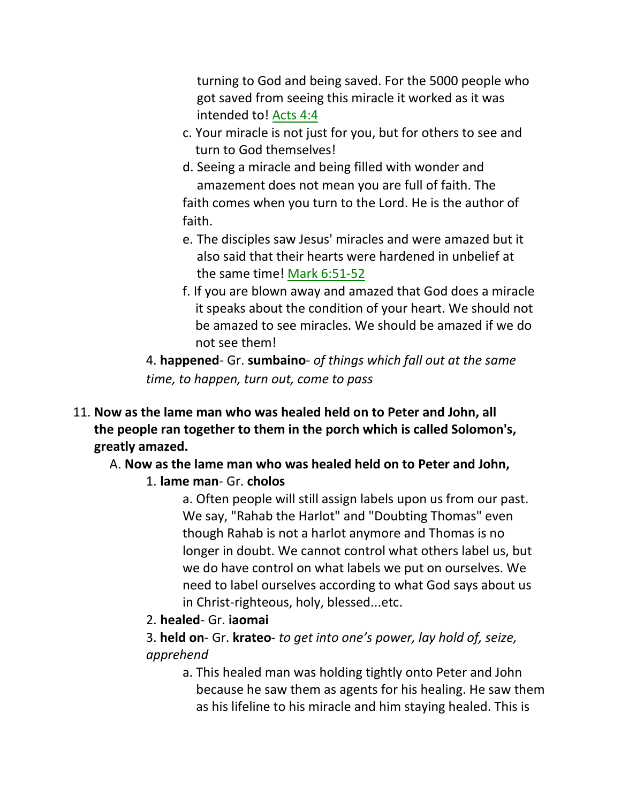turning to God and being saved. For the 5000 people who got saved from seeing this miracle it worked as it was intended to! Acts 4:4

- c. Your miracle is not just for you, but for others to see and turn to God themselves!
- d. Seeing a miracle and being filled with wonder and amazement does not mean you are full of faith. The faith comes when you turn to the Lord. He is the author of faith.
- e. The disciples saw Jesus' miracles and were amazed but it also said that their hearts were hardened in unbelief at the same time! Mark 6:51-52
- f. If you are blown away and amazed that God does a miracle it speaks about the condition of your heart. We should not be amazed to see miracles. We should be amazed if we do not see them!

4. **happened**- Gr. **sumbaino**- *of things which fall out at the same time, to happen, turn out, come to pass*

11. **Now as the lame man who was healed held on to Peter and John, all the people ran together to them in the porch which is called Solomon's, greatly amazed.**

# A. **Now as the lame man who was healed held on to Peter and John,**

1. **lame man**- Gr. **cholos**

a. Often people will still assign labels upon us from our past. We say, "Rahab the Harlot" and "Doubting Thomas" even though Rahab is not a harlot anymore and Thomas is no longer in doubt. We cannot control what others label us, but we do have control on what labels we put on ourselves. We need to label ourselves according to what God says about us in Christ-righteous, holy, blessed...etc.

2. **healed**- Gr. **iaomai**

3. **held on**- Gr. **krateo**- *to get into one's power, lay hold of, seize, apprehend*

a. This healed man was holding tightly onto Peter and John because he saw them as agents for his healing. He saw them as his lifeline to his miracle and him staying healed. This is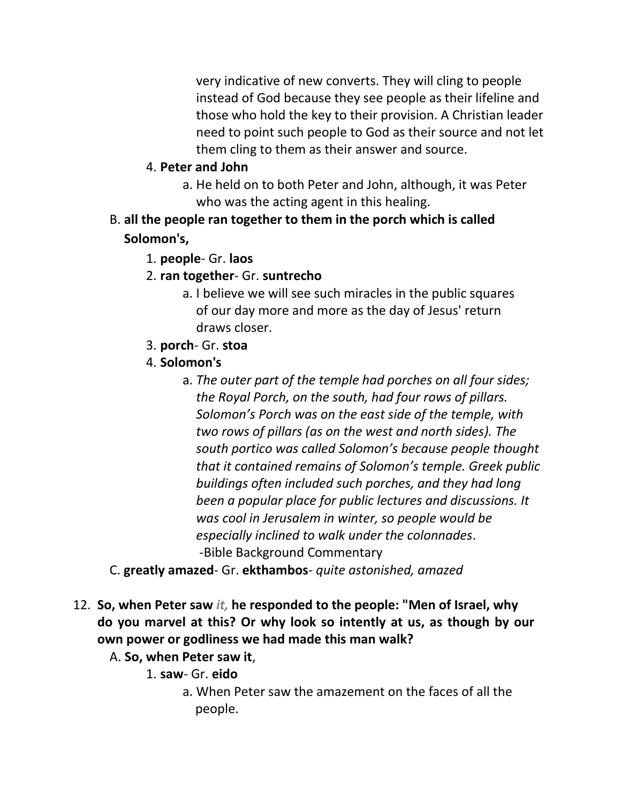very indicative of new converts. They will cling to people instead of God because they see people as their lifeline and those who hold the key to their provision. A Christian leader need to point such people to God as their source and not let them cling to them as their answer and source.

- 4. **Peter and John**
	- a. He held on to both Peter and John, although, it was Peter who was the acting agent in this healing.
- B. **all the people ran together to them in the porch which is called Solomon's,**
	- 1. **people** Gr. **laos**
	- 2. **ran together** Gr. **suntrecho**
		- a. I believe we will see such miracles in the public squares of our day more and more as the day of Jesus' return draws closer.
	- 3. **porch** Gr. **stoa**
	- 4. **Solomon's**
		- a. *The outer part of the temple had porches on all four sides; the Royal Porch, on the south, had four rows of pillars. Solomon's Porch was on the east side of the temple, with two rows of pillars (as on the west and north sides). The south portico was called Solomon's because people thought that it contained remains of Solomon's temple. Greek public buildings often included such porches, and they had long been a popular place for public lectures and discussions. It was cool in Jerusalem in winter, so people would be especially inclined to walk under the colonnades*. -Bible Background Commentary
- C. **greatly amazed** Gr. **ekthambos** *quite astonished, amazed*
- 12. **So, when Peter saw** *it,* **he responded to the people: "Men of Israel, why do you marvel at this? Or why look so intently at us, as though by our own power or godliness we had made this man walk?**

A. **So, when Peter saw it**,

- 1. **saw** Gr. **eido**
	- a. When Peter saw the amazement on the faces of all the people.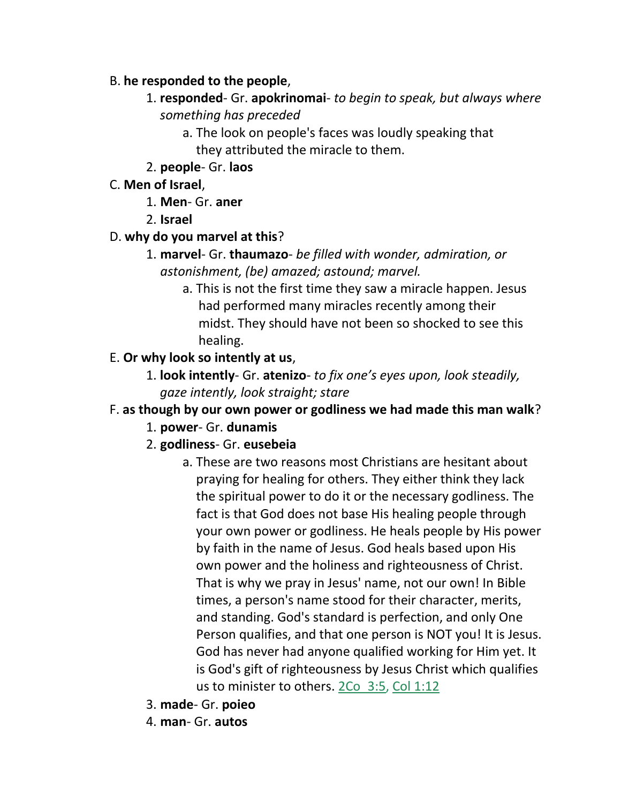#### B. **he responded to the people**,

- 1. **responded** Gr. **apokrinomai** *to begin to speak, but always where something has preceded*
	- a. The look on people's faces was loudly speaking that they attributed the miracle to them.
- 2. **people** Gr. **laos**

#### C. **Men of Israel**,

- 1. **Men** Gr. **aner**
- 2. **Israel**

#### D. **why do you marvel at this**?

- 1. **marvel** Gr. **thaumazo** *be filled with wonder, admiration, or astonishment, (be) amazed; astound; marvel.*
	- a. This is not the first time they saw a miracle happen. Jesus had performed many miracles recently among their midst. They should have not been so shocked to see this healing.

#### E. **Or why look so intently at us**,

1. **look intently**- Gr. **atenizo**- *to fix one's eyes upon, look steadily, gaze intently, look straight; stare*

## F. **as though by our own power or godliness we had made this man walk**?

- 1. **power** Gr. **dunamis**
- 2. **godliness** Gr. **eusebeia**
	- a. These are two reasons most Christians are hesitant about praying for healing for others. They either think they lack the spiritual power to do it or the necessary godliness. The fact is that God does not base His healing people through your own power or godliness. He heals people by His power by faith in the name of Jesus. God heals based upon His own power and the holiness and righteousness of Christ. That is why we pray in Jesus' name, not our own! In Bible times, a person's name stood for their character, merits, and standing. God's standard is perfection, and only One Person qualifies, and that one person is NOT you! It is Jesus. God has never had anyone qualified working for Him yet. It is God's gift of righteousness by Jesus Christ which qualifies us to minister to others. 2Co\_3:5, Col 1:12
- 3. **made** Gr. **poieo**
- 4. **man** Gr. **autos**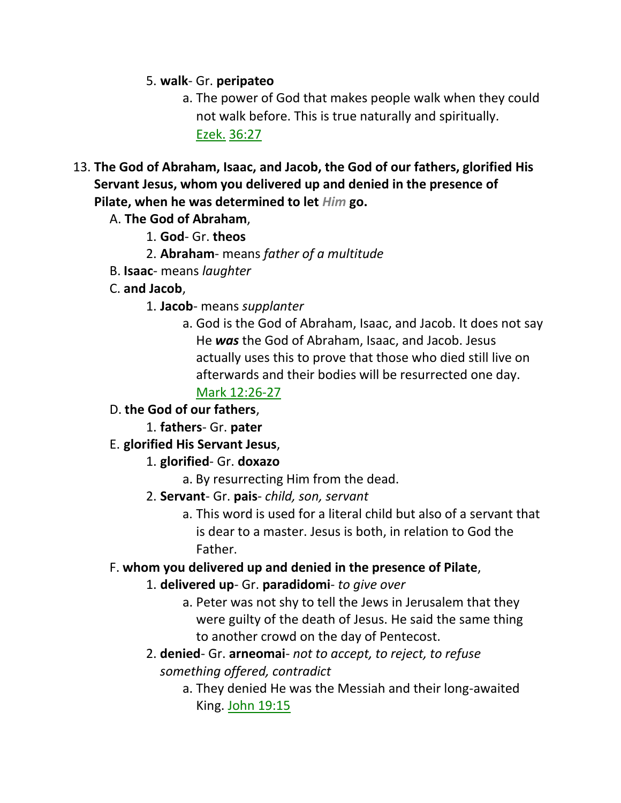#### 5. **walk**- Gr. **peripateo**

- a. The power of God that makes people walk when they could not walk before. This is true naturally and spiritually. Ezek. 36:27
- 13. **The God of Abraham, Isaac, and Jacob, the God of our fathers, glorified His Servant Jesus, whom you delivered up and denied in the presence of Pilate, when he was determined to let** *Him* **go.**
	- A. **The God of Abraham**,
		- 1. **God** Gr. **theos**
		- 2. **Abraham** means *father of a multitude*
	- B. **Isaac** means *laughter*
	- C. **and Jacob**,
		- 1. **Jacob** means *supplanter*
			- a. God is the God of Abraham, Isaac, and Jacob. It does not say He *was* the God of Abraham, Isaac, and Jacob. Jesus actually uses this to prove that those who died still live on afterwards and their bodies will be resurrected one day.

#### Mark 12:26-27

- D. **the God of our fathers**,
	- 1. **fathers** Gr. **pater**
- E. **glorified His Servant Jesus**,
	- 1. **glorified** Gr. **doxazo**
		- a. By resurrecting Him from the dead.
	- 2. **Servant** Gr. **pais** *child, son, servant*
		- a. This word is used for a literal child but also of a servant that is dear to a master. Jesus is both, in relation to God the Father.

#### F. **whom you delivered up and denied in the presence of Pilate**,

#### 1. **delivered up**- Gr. **paradidomi**- *to give over*

- a. Peter was not shy to tell the Jews in Jerusalem that they were guilty of the death of Jesus. He said the same thing to another crowd on the day of Pentecost.
- 2. **denied** Gr. **arneomai** *not to accept, to reject, to refuse something offered, contradict*
	- a. They denied He was the Messiah and their long-awaited King. John 19:15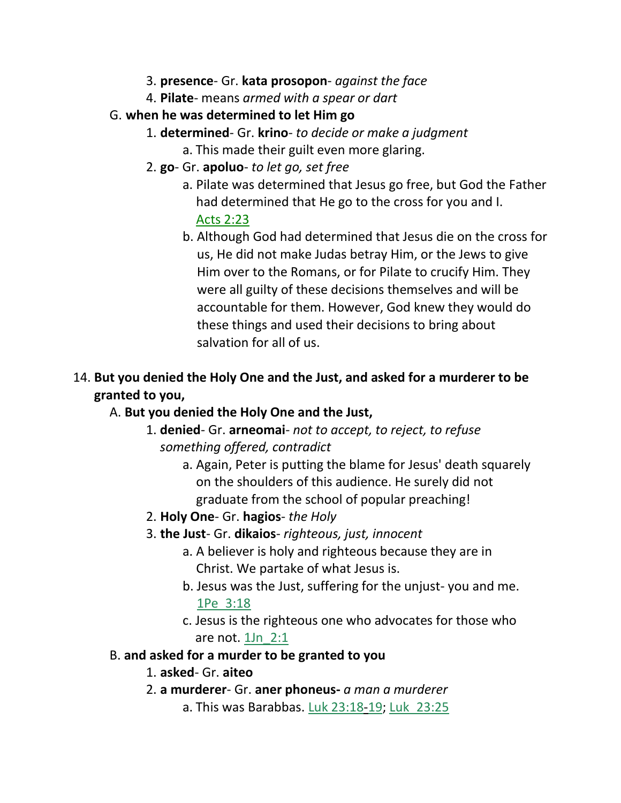- 3. **presence** Gr. **kata prosopon** *against the face*
- 4. **Pilate** means *armed with a spear or dart*
- G. **when he was determined to let Him go**
	- 1. **determined** Gr. **krino** *to decide or make a judgment*
		- a. This made their guilt even more glaring.
	- 2. **go** Gr. **apoluo** *to let go, set free*
		- a. Pilate was determined that Jesus go free, but God the Father had determined that He go to the cross for you and I. Acts 2:23
		- b. Although God had determined that Jesus die on the cross for us, He did not make Judas betray Him, or the Jews to give Him over to the Romans, or for Pilate to crucify Him. They were all guilty of these decisions themselves and will be accountable for them. However, God knew they would do these things and used their decisions to bring about salvation for all of us.
- 14. **But you denied the Holy One and the Just, and asked for a murderer to be granted to you,**
	- A. **But you denied the Holy One and the Just,**
		- 1. **denied** Gr. **arneomai** *not to accept, to reject, to refuse something offered, contradict*
			- a. Again, Peter is putting the blame for Jesus' death squarely on the shoulders of this audience. He surely did not graduate from the school of popular preaching!
		- 2. **Holy One** Gr. **hagios** *the Holy*
		- 3. **the Just** Gr. **dikaios** *righteous, just, innocent*
			- a. A believer is holy and righteous because they are in Christ. We partake of what Jesus is.
			- b. Jesus was the Just, suffering for the unjust- you and me. 1Pe\_3:18
			- c. Jesus is the righteous one who advocates for those who are not. 1Jn\_2:1
	- B. **and asked for a murder to be granted to you**
		- 1. **asked** Gr. **aiteo**
		- 2. **a murderer** Gr. **aner phoneus-** *a man a murderer*
			- a. This was Barabbas. Luk 23:18-19; Luk\_23:25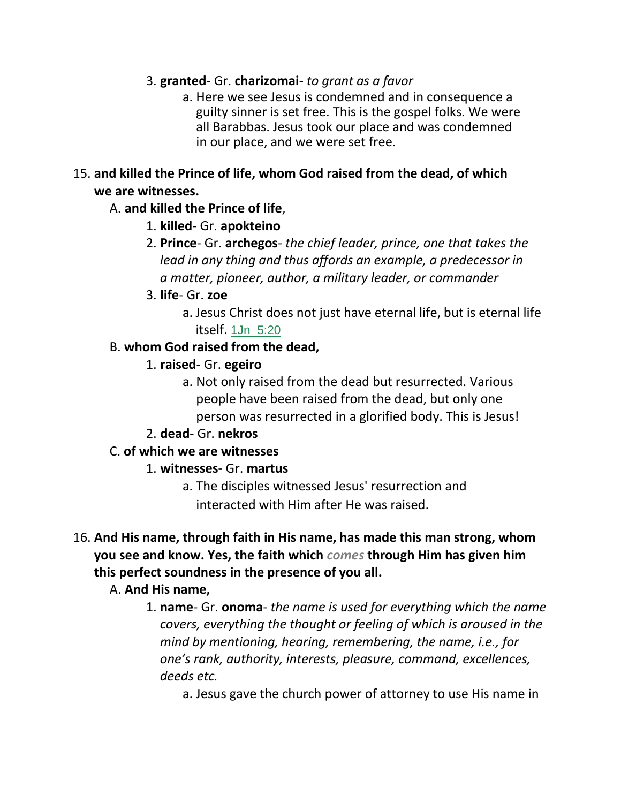#### 3. **granted**- Gr. **charizomai**- *to grant as a favor*

a. Here we see Jesus is condemned and in consequence a guilty sinner is set free. This is the gospel folks. We were all Barabbas. Jesus took our place and was condemned in our place, and we were set free.

#### 15. **and killed the Prince of life, whom God raised from the dead, of which we are witnesses.**

#### A. **and killed the Prince of life**,

- 1. **killed** Gr. **apokteino**
- 2. **Prince** Gr. **archegos** *the chief leader, prince, one that takes the lead in any thing and thus affords an example, a predecessor in a matter, pioneer, author, a military leader, or commander*
- 3. **life** Gr. **zoe**
	- a. Jesus Christ does not just have eternal life, but is eternal life itself. 1Jn\_5:20

#### B. **whom God raised from the dead,**

- 1. **raised** Gr. **egeiro**
	- a. Not only raised from the dead but resurrected. Various people have been raised from the dead, but only one person was resurrected in a glorified body. This is Jesus!

#### 2. **dead**- Gr. **nekros**

## C. **of which we are witnesses**

#### 1. **witnesses-** Gr. **martus**

- a. The disciples witnessed Jesus' resurrection and interacted with Him after He was raised.
- 16. **And His name, through faith in His name, has made this man strong, whom you see and know. Yes, the faith which** *comes* **through Him has given him this perfect soundness in the presence of you all.**

## A. **And His name,**

1. **name**- Gr. **onoma**- *the name is used for everything which the name covers, everything the thought or feeling of which is aroused in the mind by mentioning, hearing, remembering, the name, i.e., for one's rank, authority, interests, pleasure, command, excellences, deeds etc.*

a. Jesus gave the church power of attorney to use His name in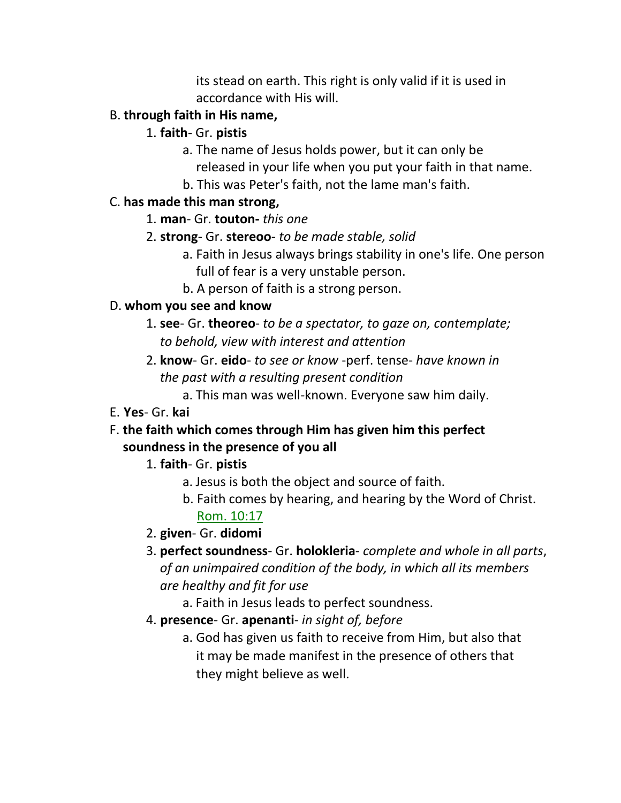its stead on earth. This right is only valid if it is used in accordance with His will.

## B. **through faith in His name,**

- 1. **faith** Gr. **pistis**
	- a. The name of Jesus holds power, but it can only be released in your life when you put your faith in that name. b. This was Peter's faith, not the lame man's faith.

#### C. **has made this man strong,**

- 1. **man** Gr. **touton-** *this one*
- 2. **strong** Gr. **stereoo** *to be made stable, solid*
	- a. Faith in Jesus always brings stability in one's life. One person full of fear is a very unstable person.
	- b. A person of faith is a strong person.

#### D. **whom you see and know**

- 1. **see** Gr. **theoreo** *to be a spectator, to gaze on, contemplate; to behold, view with interest and attention*
- 2. **know** Gr. **eido** *to see or know* -perf. tense- *have known in the past with a resulting present condition*
	- a. This man was well-known. Everyone saw him daily.

## E. **Yes**- Gr. **kai**

F. **the faith which comes through Him has given him this perfect soundness in the presence of you all**

# 1. **faith**- Gr. **pistis**

- a. Jesus is both the object and source of faith.
- b. Faith comes by hearing, and hearing by the Word of Christ. Rom. 10:17
- 2. **given** Gr. **didomi**
- 3. **perfect soundness** Gr. **holokleria** *complete and whole in all parts*, *of an unimpaired condition of the body, in which all its members are healthy and fit for use*
	- a. Faith in Jesus leads to perfect soundness.
- 4. **presence** Gr. **apenanti** *in sight of, before*
	- a. God has given us faith to receive from Him, but also that it may be made manifest in the presence of others that they might believe as well.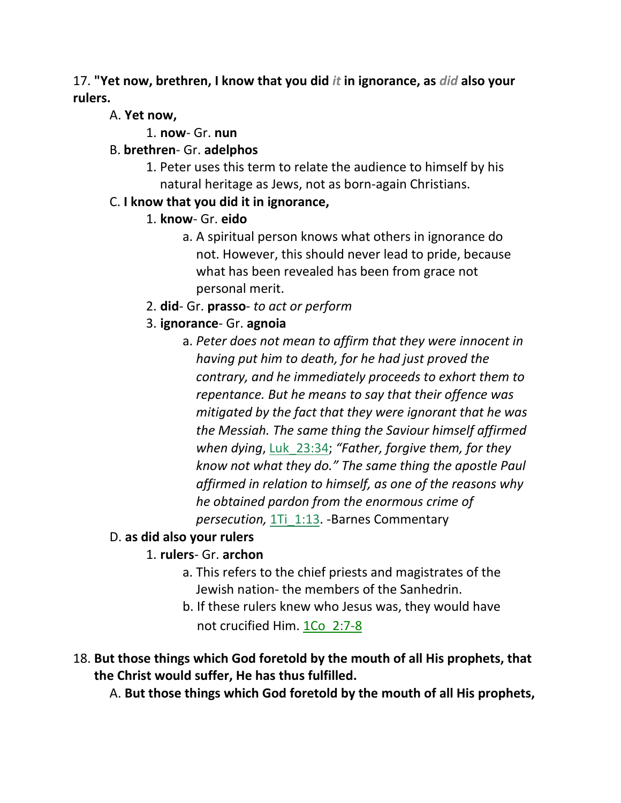## 17. **"Yet now, brethren, I know that you did** *it* **in ignorance, as** *did* **also your rulers.**

## A. **Yet now,**

1. **now**- Gr. **nun**

# B. **brethren**- Gr. **adelphos**

1. Peter uses this term to relate the audience to himself by his natural heritage as Jews, not as born-again Christians.

# C. **I know that you did it in ignorance,**

- 1. **know** Gr. **eido**
	- a. A spiritual person knows what others in ignorance do not. However, this should never lead to pride, because what has been revealed has been from grace not personal merit.
- 2. **did** Gr. **prasso** *to act or perform*

# 3. **ignorance**- Gr. **agnoia**

a. *Peter does not mean to affirm that they were innocent in having put him to death, for he had just proved the contrary, and he immediately proceeds to exhort them to repentance. But he means to say that their offence was mitigated by the fact that they were ignorant that he was the Messiah. The same thing the Saviour himself affirmed when dying*, Luk\_23:34; *"Father, forgive them, for they know not what they do." The same thing the apostle Paul affirmed in relation to himself, as one of the reasons why he obtained pardon from the enormous crime of persecution,* 1Ti\_1:13. -Barnes Commentary

# D. **as did also your rulers**

# 1. **rulers**- Gr. **archon**

- a. This refers to the chief priests and magistrates of the Jewish nation- the members of the Sanhedrin.
- b. If these rulers knew who Jesus was, they would have not crucified Him. 1Co\_2:7-8
- 18. **But those things which God foretold by the mouth of all His prophets, that the Christ would suffer, He has thus fulfilled.**

A. **But those things which God foretold by the mouth of all His prophets,**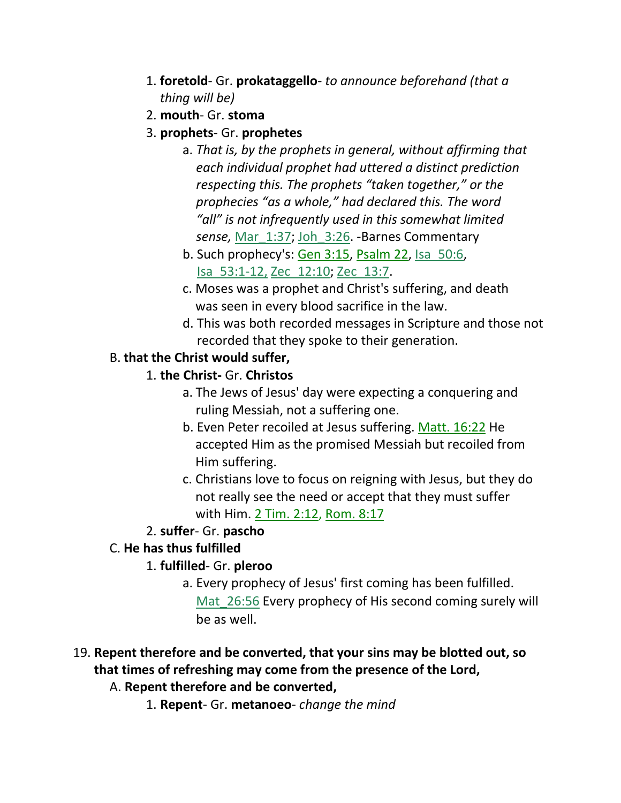- 1. **foretold** Gr. **prokataggello** *to announce beforehand (that a thing will be)*
- 2. **mouth** Gr. **stoma**
- 3. **prophets** Gr. **prophetes**
	- a. *That is, by the prophets in general, without affirming that each individual prophet had uttered a distinct prediction respecting this. The prophets "taken together," or the prophecies "as a whole," had declared this. The word "all" is not infrequently used in this somewhat limited sense,* Mar\_1:37; Joh\_3:26. -Barnes Commentary
	- b. Such prophecy's: Gen 3:15, Psalm 22, Isa\_50:6, Isa\_53:1-12, Zec\_12:10; Zec\_13:7.
	- c. Moses was a prophet and Christ's suffering, and death was seen in every blood sacrifice in the law.
	- d. This was both recorded messages in Scripture and those not recorded that they spoke to their generation.

# B. **that the Christ would suffer,**

- 1. **the Christ-** Gr. **Christos**
	- a. The Jews of Jesus' day were expecting a conquering and ruling Messiah, not a suffering one.
	- b. Even Peter recoiled at Jesus suffering. Matt. 16:22 He accepted Him as the promised Messiah but recoiled from Him suffering.
	- c. Christians love to focus on reigning with Jesus, but they do not really see the need or accept that they must suffer with Him. 2 Tim. 2:12, Rom. 8:17

# 2. **suffer**- Gr. **pascho**

# C. **He has thus fulfilled**

# 1. **fulfilled**- Gr. **pleroo**

a. Every prophecy of Jesus' first coming has been fulfilled. Mat 26:56 Every prophecy of His second coming surely will be as well.

# 19. **Repent therefore and be converted, that your sins may be blotted out, so that times of refreshing may come from the presence of the Lord,**

- A. **Repent therefore and be converted,**
	- 1. **Repent** Gr. **metanoeo** *change the mind*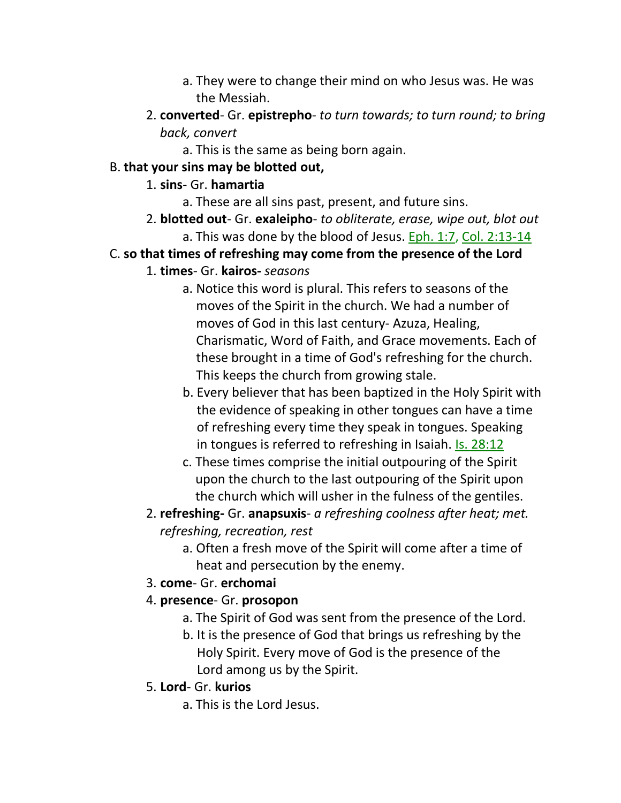- a. They were to change their mind on who Jesus was. He was the Messiah.
- 2. **converted** Gr. **epistrepho** *to turn towards; to turn round; to bring back, convert*
	- a. This is the same as being born again.

## B. **that your sins may be blotted out,**

#### 1. **sins**- Gr. **hamartia**

- a. These are all sins past, present, and future sins.
- 2. **blotted out** Gr. **exaleipho** *to obliterate, erase, wipe out, blot out* a. This was done by the blood of Jesus. Eph. 1:7, Col. 2:13-14
- C. **so that times of refreshing may come from the presence of the Lord**
	- 1. **times** Gr. **kairos-** *seasons*
		- a. Notice this word is plural. This refers to seasons of the moves of the Spirit in the church. We had a number of moves of God in this last century- Azuza, Healing, Charismatic, Word of Faith, and Grace movements. Each of these brought in a time of God's refreshing for the church. This keeps the church from growing stale.
		- b. Every believer that has been baptized in the Holy Spirit with the evidence of speaking in other tongues can have a time of refreshing every time they speak in tongues. Speaking in tongues is referred to refreshing in Isaiah. Is. 28:12
		- c. These times comprise the initial outpouring of the Spirit upon the church to the last outpouring of the Spirit upon the church which will usher in the fulness of the gentiles.
	- 2. **refreshing-** Gr. **anapsuxis** *a refreshing coolness after heat; met. refreshing, recreation, rest*
		- a. Often a fresh move of the Spirit will come after a time of heat and persecution by the enemy.
	- 3. **come** Gr. **erchomai**
	- 4. **presence** Gr. **prosopon**
		- a. The Spirit of God was sent from the presence of the Lord.
		- b. It is the presence of God that brings us refreshing by the Holy Spirit. Every move of God is the presence of the Lord among us by the Spirit.
	- 5. **Lord** Gr. **kurios**
		- a. This is the Lord Jesus.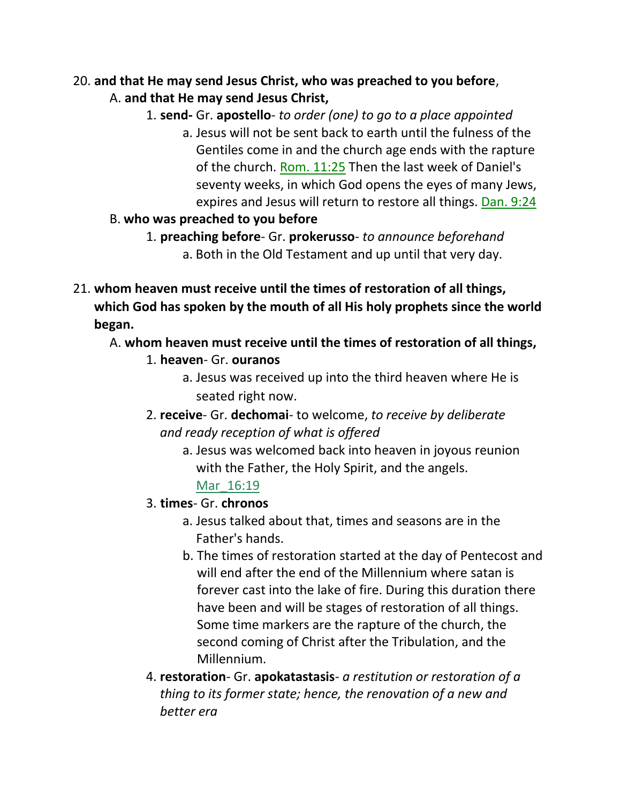# 20. **and that He may send Jesus Christ, who was preached to you before**,

- A. **and that He may send Jesus Christ,**
	- 1. **send-** Gr. **apostello** *to order (one) to go to a place appointed*
		- a. Jesus will not be sent back to earth until the fulness of the Gentiles come in and the church age ends with the rapture of the church. Rom. 11:25 Then the last week of Daniel's seventy weeks, in which God opens the eyes of many Jews, expires and Jesus will return to restore all things. Dan. 9:24
- B. **who was preached to you before**
	- 1. **preaching before** Gr. **prokerusso** *to announce beforehand* a. Both in the Old Testament and up until that very day.
- 21. **whom heaven must receive until the times of restoration of all things, which God has spoken by the mouth of all His holy prophets since the world began.**
	- A. **whom heaven must receive until the times of restoration of all things,**
		- 1. **heaven** Gr. **ouranos**
			- a. Jesus was received up into the third heaven where He is seated right now.
		- 2. **receive** Gr. **dechomai** to welcome, *to receive by deliberate and ready reception of what is offered*
			- a. Jesus was welcomed back into heaven in joyous reunion with the Father, the Holy Spirit, and the angels. Mar 16:19
		- 3. **times** Gr. **chronos**
			- a. Jesus talked about that, times and seasons are in the Father's hands.
			- b. The times of restoration started at the day of Pentecost and will end after the end of the Millennium where satan is forever cast into the lake of fire. During this duration there have been and will be stages of restoration of all things. Some time markers are the rapture of the church, the second coming of Christ after the Tribulation, and the Millennium.
		- 4. **restoration** Gr. **apokatastasis** *a restitution or restoration of a thing to its former state; hence, the renovation of a new and better era*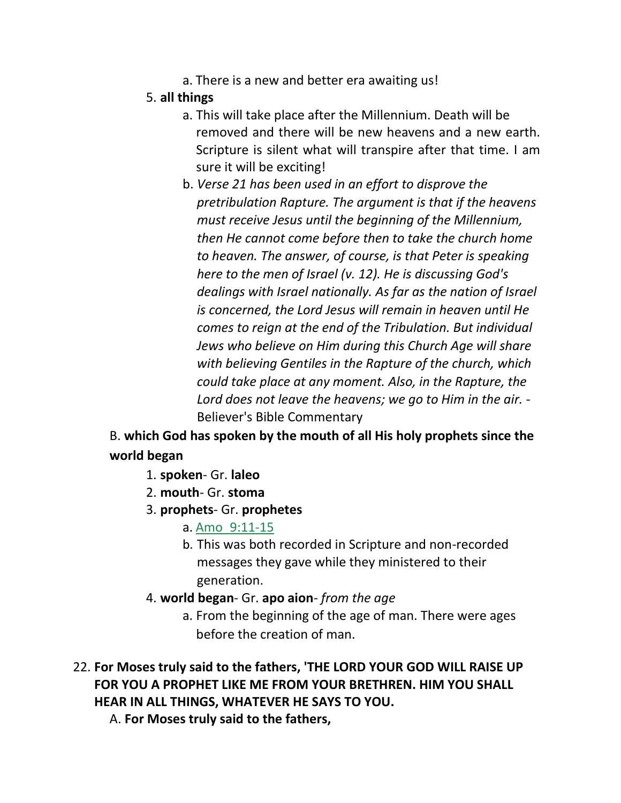a. There is a new and better era awaiting us!

#### 5. **all things**

- a. This will take place after the Millennium. Death will be removed and there will be new heavens and a new earth. Scripture is silent what will transpire after that time. I am sure it will be exciting!
- b. *Verse 21 has been used in an effort to disprove the pretribulation Rapture. The argument is that if the heavens must receive Jesus until the beginning of the Millennium, then He cannot come before then to take the church home to heaven. The answer, of course, is that Peter is speaking here to the men of Israel (v. 12). He is discussing God's dealings with Israel nationally. As far as the nation of Israel is concerned, the Lord Jesus will remain in heaven until He comes to reign at the end of the Tribulation. But individual Jews who believe on Him during this Church Age will share with believing Gentiles in the Rapture of the church, which could take place at any moment. Also, in the Rapture, the Lord does not leave the heavens; we go to Him in the air.* - Believer's Bible Commentary

B. **which God has spoken by the mouth of all His holy prophets since the world began**

- 1. **spoken** Gr. **laleo**
- 2. **mouth** Gr. **stoma**
- 3. **prophets** Gr. **prophetes**
	- a. Amo\_9:11-15
	- b. This was both recorded in Scripture and non-recorded messages they gave while they ministered to their generation.
- 4. **world began** Gr. **apo aion** *from the age*
	- a. From the beginning of the age of man. There were ages before the creation of man.
- 22. **For Moses truly said to the fathers, 'THE LORD YOUR GOD WILL RAISE UP FOR YOU A PROPHET LIKE ME FROM YOUR BRETHREN. HIM YOU SHALL HEAR IN ALL THINGS, WHATEVER HE SAYS TO YOU.**
	- A. **For Moses truly said to the fathers,**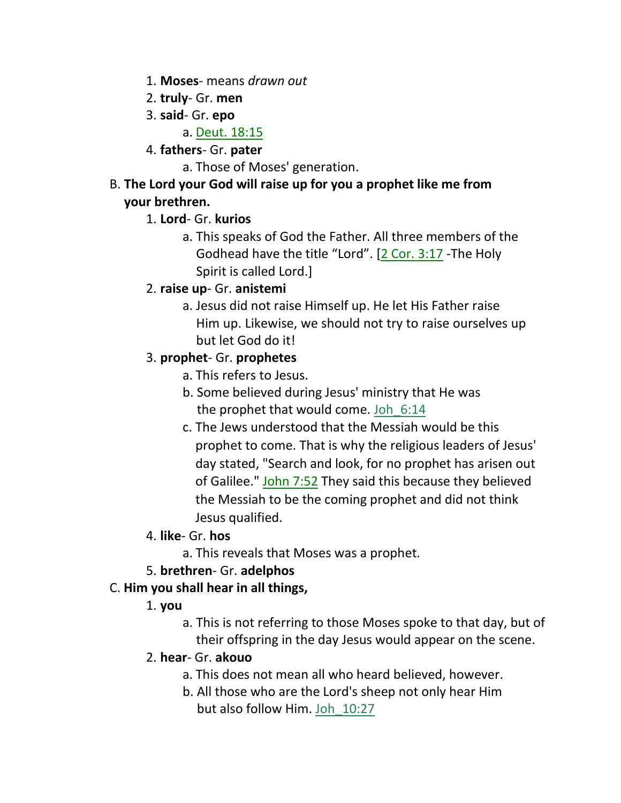- 1. **Moses** means *drawn out*
- 2. **truly** Gr. **men**
- 3. **said** Gr. **epo**

a. Deut. 18:15

4. **fathers**- Gr. **pater**

a. Those of Moses' generation.

B. **The Lord your God will raise up for you a prophet like me from your brethren.**

## 1. **Lord**- Gr. **kurios**

a. This speaks of God the Father. All three members of the Godhead have the title "Lord". [2 Cor. 3:17 -The Holy Spirit is called Lord.]

## 2. **raise up**- Gr. **anistemi**

a. Jesus did not raise Himself up. He let His Father raise Him up. Likewise, we should not try to raise ourselves up but let God do it!

## 3. **prophet**- Gr. **prophetes**

- a. This refers to Jesus.
- b. Some believed during Jesus' ministry that He was the prophet that would come. Joh\_6:14
- c. The Jews understood that the Messiah would be this prophet to come. That is why the religious leaders of Jesus' day stated, "Search and look, for no prophet has arisen out of Galilee." John 7:52 They said this because they believed the Messiah to be the coming prophet and did not think Jesus qualified.
- 4. **like** Gr. **hos**
	- a. This reveals that Moses was a prophet.
- 5. **brethren** Gr. **adelphos**

# C. **Him you shall hear in all things,**

## 1. **you**

- a. This is not referring to those Moses spoke to that day, but of their offspring in the day Jesus would appear on the scene.
- 2. **hear** Gr. **akouo**
	- a. This does not mean all who heard believed, however.
	- b. All those who are the Lord's sheep not only hear Him but also follow Him. Joh\_10:27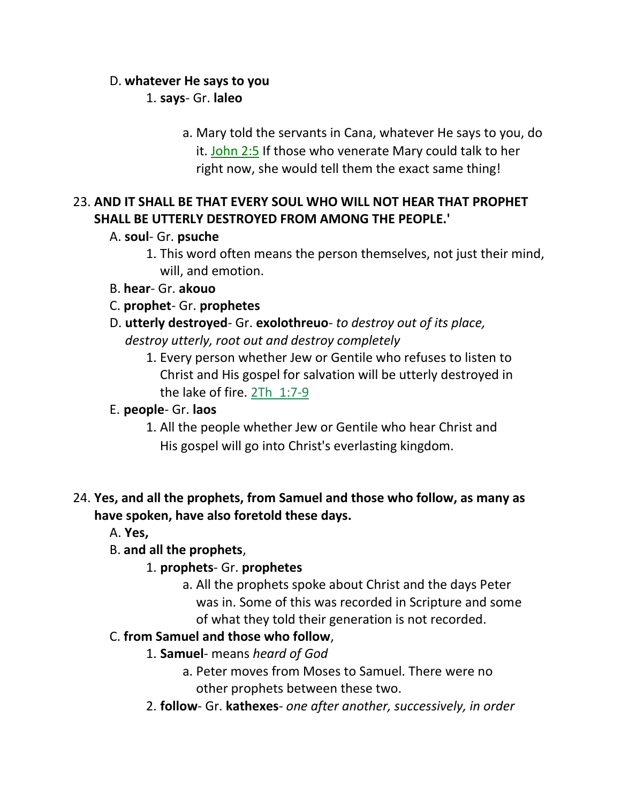#### D. **whatever He says to you**

1. **says**- Gr. **laleo**

a. Mary told the servants in Cana, whatever He says to you, do it. John 2:5 If those who venerate Mary could talk to her right now, she would tell them the exact same thing!

## 23. **AND IT SHALL BE THAT EVERY SOUL WHO WILL NOT HEAR THAT PROPHET SHALL BE UTTERLY DESTROYED FROM AMONG THE PEOPLE.'**

#### A. **soul**- Gr. **psuche**

- 1. This word often means the person themselves, not just their mind, will, and emotion.
- B. **hear** Gr. **akouo**
- C. **prophet** Gr. **prophetes**
- D. **utterly destroyed** Gr. **exolothreuo** *to destroy out of its place, destroy utterly, root out and destroy completely*
	- 1. Every person whether Jew or Gentile who refuses to listen to Christ and His gospel for salvation will be utterly destroyed in the lake of fire. 2Th\_1:7-9

## E. **people**- Gr. **laos**

1. All the people whether Jew or Gentile who hear Christ and His gospel will go into Christ's everlasting kingdom.

## 24. **Yes, and all the prophets, from Samuel and those who follow, as many as have spoken, have also foretold these days.**

- A. **Yes,**
- B. **and all the prophets**,
	- 1. **prophets** Gr. **prophetes**
		- a. All the prophets spoke about Christ and the days Peter was in. Some of this was recorded in Scripture and some of what they told their generation is not recorded.

## C. **from Samuel and those who follow**,

- 1. **Samuel** means *heard of God*
	- a. Peter moves from Moses to Samuel. There were no other prophets between these two.
- 2. **follow** Gr. **kathexes** *one after another, successively, in order*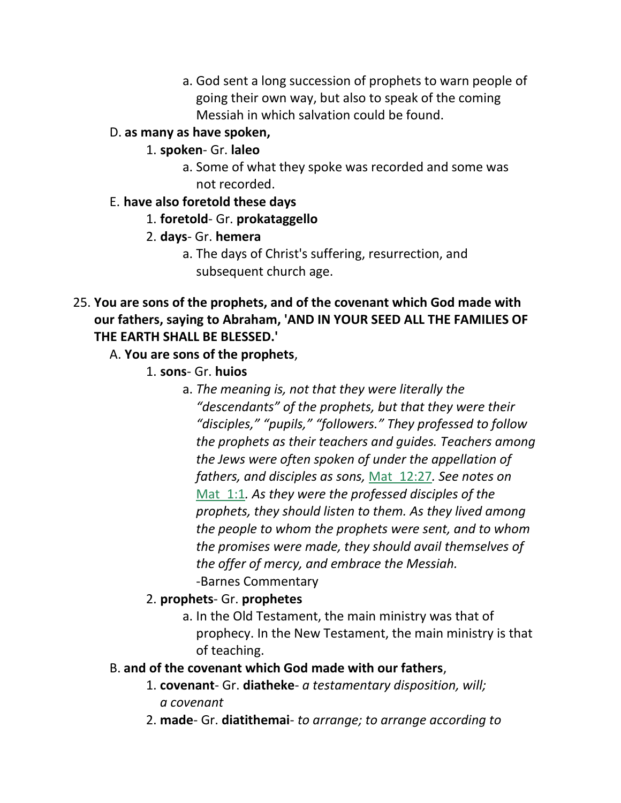a. God sent a long succession of prophets to warn people of going their own way, but also to speak of the coming Messiah in which salvation could be found.

## D. **as many as have spoken,**

#### 1. **spoken**- Gr. **laleo**

a. Some of what they spoke was recorded and some was not recorded.

#### E. **have also foretold these days**

1. **foretold**- Gr. **prokataggello**

#### 2. **days**- Gr. **hemera**

a. The days of Christ's suffering, resurrection, and subsequent church age.

## 25. **You are sons of the prophets, and of the covenant which God made with our fathers, saying to Abraham, 'AND IN YOUR SEED ALL THE FAMILIES OF THE EARTH SHALL BE BLESSED.'**

## A. **You are sons of the prophets**,

- 1. **sons** Gr. **huios**
	- a. *The meaning is, not that they were literally the "descendants" of the prophets, but that they were their "disciples," "pupils," "followers." They professed to follow the prophets as their teachers and guides. Teachers among the Jews were often spoken of under the appellation of fathers, and disciples as sons,* Mat\_12:27*. See notes on*  Mat\_1:1*. As they were the professed disciples of the prophets, they should listen to them. As they lived among the people to whom the prophets were sent, and to whom the promises were made, they should avail themselves of the offer of mercy, and embrace the Messiah.*  -Barnes Commentary

## 2. **prophets**- Gr. **prophetes**

a. In the Old Testament, the main ministry was that of prophecy. In the New Testament, the main ministry is that of teaching.

#### B. **and of the covenant which God made with our fathers**,

- 1. **covenant** Gr. **diatheke** *a testamentary disposition, will; a covenant*
- 2. **made** Gr. **diatithemai** *to arrange; to arrange according to*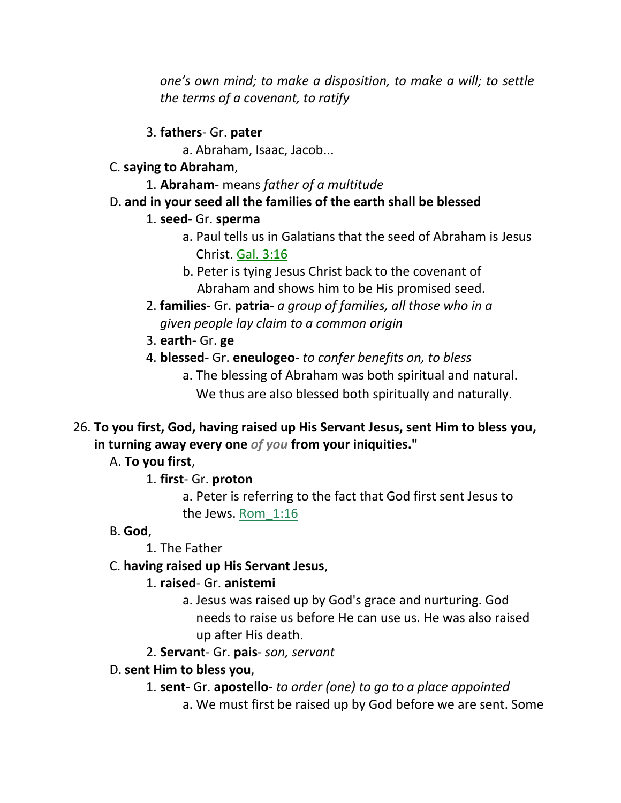*one's own mind; to make a disposition, to make a will; to settle the terms of a covenant, to ratify*

3. **fathers**- Gr. **pater**

a. Abraham, Isaac, Jacob...

- C. **saying to Abraham**,
	- 1. **Abraham** means *father of a multitude*
- D. **and in your seed all the families of the earth shall be blessed**

## 1. **seed**- Gr. **sperma**

- a. Paul tells us in Galatians that the seed of Abraham is Jesus Christ. Gal. 3:16
- b. Peter is tying Jesus Christ back to the covenant of Abraham and shows him to be His promised seed.
- 2. **families** Gr. **patria** *a group of families, all those who in a given people lay claim to a common origin*
- 3. **earth** Gr. **ge**
- 4. **blessed** Gr. **eneulogeo** *to confer benefits on, to bless*
	- a. The blessing of Abraham was both spiritual and natural. We thus are also blessed both spiritually and naturally.
- 26. **To you first, God, having raised up His Servant Jesus, sent Him to bless you, in turning away every one** *of you* **from your iniquities."**

A. **To you first**,

# 1. **first**- Gr. **proton**

a. Peter is referring to the fact that God first sent Jesus to the Jews. Rom\_1:16

# B. **God**,

1. The Father

# C. **having raised up His Servant Jesus**,

# 1. **raised**- Gr. **anistemi**

- a. Jesus was raised up by God's grace and nurturing. God needs to raise us before He can use us. He was also raised up after His death.
- 2. **Servant** Gr. **pais** *son, servant*

# D. **sent Him to bless you**,

- 1. **sent** Gr. **apostello** *to order (one) to go to a place appointed*
	- a. We must first be raised up by God before we are sent. Some